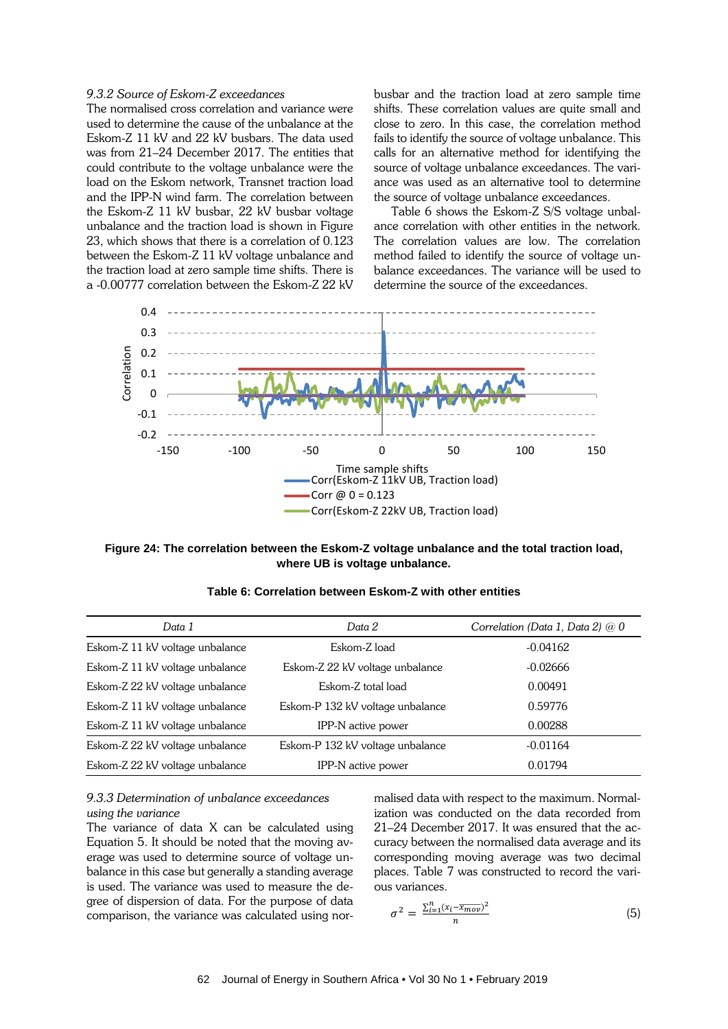## *9.3.2 Source of Eskom-Z exceedances*

The normalised cross correlation and variance were used to determine the cause of the unbalance at the Eskom-Z 11 kV and 22 kV busbars. The data used was from 21–24 December 2017. The entities that could contribute to the voltage unbalance were the load on the Eskom network, Transnet traction load and the IPP-N wind farm. The correlation between the Eskom-Z 11 kV busbar, 22 kV busbar voltage unbalance and the traction load is shown in Figure 23, which shows that there is a correlation of 0.123 between the Eskom-Z 11 kV voltage unbalance and the traction load at zero sample time shifts. There is a -0.00777 correlation between the Eskom-Z 22 kV

busbar and the traction load at zero sample time shifts. These correlation values are quite small and close to zero. In this case, the correlation method fails to identify the source of voltage unbalance. This calls for an alternative method for identifying the source of voltage unbalance exceedances. The variance was used as an alternative tool to determine the source of voltage unbalance exceedances.

Table 6 shows the Eskom-Z S/S voltage unbalance correlation with other entities in the network. The correlation values are low. The correlation method failed to identify the source of voltage unbalance exceedances. The variance will be used to determine the source of the exceedances.



**Figure 24: The correlation between the Eskom-Z voltage unbalance and the total traction load, where UB is voltage unbalance.**

| Data 1                          | Data 2                           | Correlation (Data 1, Data 2) $@0$ |
|---------------------------------|----------------------------------|-----------------------------------|
| Eskom-Z 11 kV voltage unbalance | Eskom-Z load                     | $-0.04162$                        |
| Eskom-Z 11 kV voltage unbalance | Eskom-Z 22 kV voltage unbalance  | $-0.02666$                        |
| Eskom-Z 22 kV voltage unbalance | Eskom-Z total load               | 0.00491                           |
| Eskom-Z 11 kV voltage unbalance | Eskom-P 132 kV voltage unbalance | 0.59776                           |
| Eskom-Z 11 kV voltage unbalance | IPP-N active power               | 0.00288                           |
| Eskom-Z 22 kV voltage unbalance | Eskom-P 132 kV voltage unbalance | $-0.01164$                        |
| Eskom-Z 22 kV voltage unbalance | IPP-N active power               | 0.01794                           |

**Table 6: Correlation between Eskom-Z with other entities**

# *9.3.3 Determination of unbalance exceedances using the variance*

The variance of data X can be calculated using Equation 5. It should be noted that the moving average was used to determine source of voltage unbalance in this case but generally a standing average is used. The variance was used to measure the degree of dispersion of data. For the purpose of data comparison, the variance was calculated using normalised data with respect to the maximum. Normalization was conducted on the data recorded from 21–24 December 2017. It was ensured that the accuracy between the normalised data average and its corresponding moving average was two decimal places. Table 7 was constructed to record the various variances.

$$
\sigma^2 = \frac{\sum_{i=1}^n (x_i - \overline{x_{mov}})^2}{n}
$$
 (5)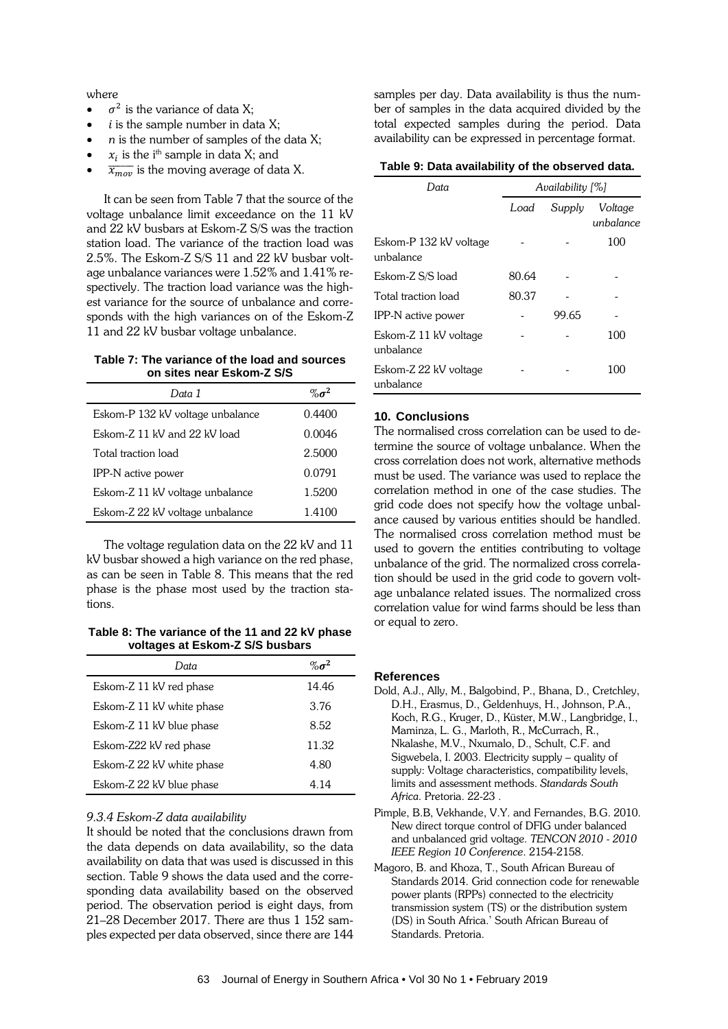where

- $\sigma^2$  is the variance of data X;
- $i$  is the sample number in data X;
- *n* is the number of samples of the data X;
- $x_i$  is the i<sup>th</sup> sample in data X; and
- $\bullet$   $\overline{x_{mov}}$  is the moving average of data X.

It can be seen from Table 7 that the source of the voltage unbalance limit exceedance on the 11 kV and 22 kV busbars at Eskom-Z S/S was the traction station load. The variance of the traction load was 2.5%. The Eskom-Z S/S 11 and 22 kV busbar voltage unbalance variances were 1.52% and 1.41% respectively. The traction load variance was the highest variance for the source of unbalance and corresponds with the high variances on of the Eskom-Z 11 and 22 kV busbar voltage unbalance.

**Table 7: The variance of the load and sources on sites near Eskom-Z S/S**

| Data 1                           | $% \sigma^2$ |
|----------------------------------|--------------|
| Eskom-P 132 kV voltage unbalance | 0.4400       |
| Eskom-Z 11 kV and 22 kV load     | 0.0046       |
| Total traction load              | 2.5000       |
| IPP-N active power               | 0.0791       |
| Eskom-Z 11 kV voltage unbalance  | 1.5200       |
| Eskom-Z 22 kV voltage unbalance  | 1.4100       |

The voltage regulation data on the 22 kV and 11 kV busbar showed a high variance on the red phase, as can be seen in Table 8. This means that the red phase is the phase most used by the traction stations.

**Table 8: The variance of the 11 and 22 kV phase voltages at Eskom-Z S/S busbars**

| Data                      | $\% \sigma^2$ |
|---------------------------|---------------|
| Eskom-Z 11 kV red phase   | 14.46         |
| Eskom-Z 11 kV white phase | 3.76          |
| Eskom-Z 11 kV blue phase  | 8.52          |
| Eskom-Z22 kV red phase    | 11.32         |
| Eskom-Z 22 kV white phase | 4.80          |
| Eskom-Z 22 kV blue phase  | 4 14          |

## *9.3.4 Eskom-Z data availability*

It should be noted that the conclusions drawn from the data depends on data availability, so the data availability on data that was used is discussed in this section. Table 9 shows the data used and the corresponding data availability based on the observed period. The observation period is eight days, from 21–28 December 2017. There are thus 1 152 samples expected per data observed, since there are 144

samples per day. Data availability is thus the number of samples in the data acquired divided by the total expected samples during the period. Data availability can be expressed in percentage format.

#### **Table 9: Data availability of the observed data.**

| Data                                | Availability [%] |        |                      |
|-------------------------------------|------------------|--------|----------------------|
|                                     | Load             | Supply | Voltage<br>unbalance |
| Eskom-P 132 kV voltage<br>unbalance |                  |        | 100                  |
| Eskom-Z S/S load                    | 80.64            |        |                      |
| Total traction load                 | 80.37            |        |                      |
| IPP-N active power                  |                  | 99.65  |                      |
| Eskom-Z 11 kV voltage<br>unbalance  |                  |        | 100                  |
| Eskom-Z 22 kV voltage<br>unbalance  |                  |        | 100                  |

# **10. Conclusions**

The normalised cross correlation can be used to determine the source of voltage unbalance. When the cross correlation does not work, alternative methods must be used. The variance was used to replace the correlation method in one of the case studies. The grid code does not specify how the voltage unbalance caused by various entities should be handled. The normalised cross correlation method must be used to govern the entities contributing to voltage unbalance of the grid. The normalized cross correlation should be used in the grid code to govern voltage unbalance related issues. The normalized cross correlation value for wind farms should be less than or equal to zero.

#### **References**

- Dold, A.J., Ally, M., Balgobind, P., Bhana, D., Cretchley, D.H., Erasmus, D., Geldenhuys, H., Johnson, P.A., Koch, R.G., Kruger, D., Küster, M.W., Langbridge, I., Maminza, L. G., Marloth, R., McCurrach, R., Nkalashe, M.V., Nxumalo, D., Schult, C.F. and Sigwebela, I. 2003. Electricity supply – quality of supply: Voltage characteristics, compatibility levels, limits and assessment methods. *Standards South Africa*. Pretoria. 22-23 .
- Pimple, B.B, Vekhande, V.Y. and Fernandes, B.G. 2010. New direct torque control of DFIG under balanced and unbalanced grid voltage. *TENCON 2010 - 2010 IEEE Region 10 Conference*. 2154-2158.
- Magoro, B. and Khoza, T., South African Bureau of Standards 2014. Grid connection code for renewable power plants (RPPs) connected to the electricity transmission system (TS) or the distribution system (DS) in South Africa.' South African Bureau of Standards. Pretoria.